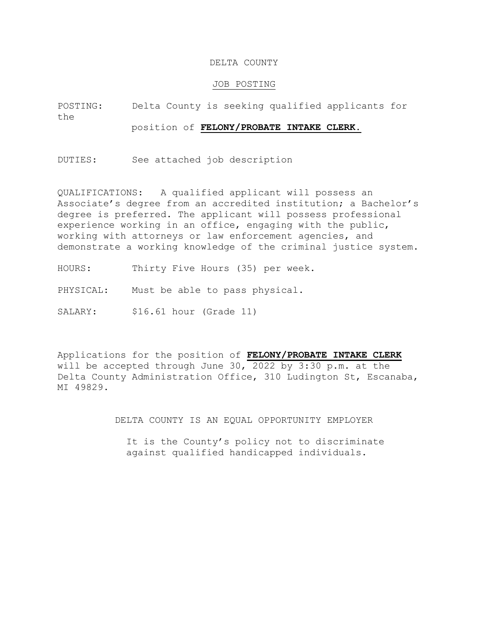#### DELTA COUNTY

#### JOB POSTING

POSTING: Delta County is seeking qualified applicants for the position of **FELONY/PROBATE INTAKE CLERK.**

DUTIES: See attached job description

QUALIFICATIONS: A qualified applicant will possess an Associate's degree from an accredited institution; a Bachelor's degree is preferred. The applicant will possess professional experience working in an office, engaging with the public, working with attorneys or law enforcement agencies, and demonstrate a working knowledge of the criminal justice system.

HOURS: Thirty Five Hours (35) per week.

PHYSICAL: Must be able to pass physical.

SALARY: \$16.61 hour (Grade 11)

MI 49829. Delta County Administration Office, 310 Ludington St, Escanaba, will be accepted through June 30, 2022 by 3:30 p.m. at the Applications for the position of **FELONY/PROBATE INTAKE CLERK**

DELTA COUNTY IS AN EQUAL OPPORTUNITY EMPLOYER

 It is the County's policy not to discriminate against qualified handicapped individuals.